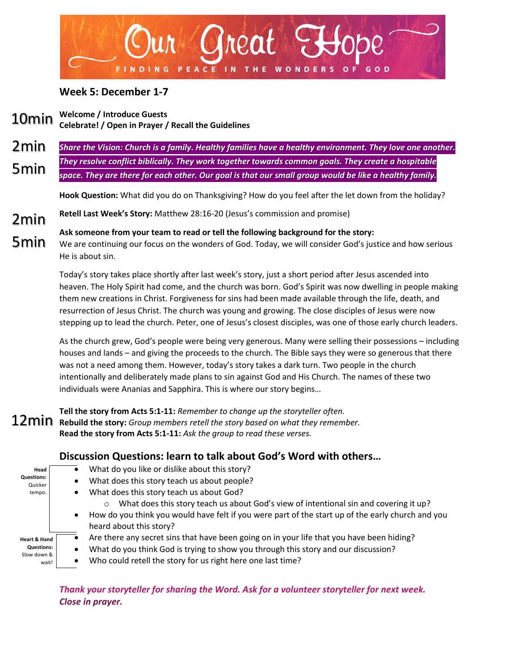

#### **Week 5: December 1-7**

**Welcome / Introduce Guests Celebrate! / Open in Prayer / Recall the Guidelines** 10min

*Share the Vision: Church is a family. Healthy families have a healthy environment. They love one another. They resolve conflict biblically. They work together towards common goals. They create a hospitable space. They are there for each other. Our goal is that our small group would be like a healthy family.* 2min 5min

**Hook Question:** What did you do on Thanksgiving? How do you feel after the let down from the holiday?

- **Retell Last Week's Story:** Matthew 28:16-20 (Jesus's commission and promise) 2min
- **Ask someone from your team to read or tell the following background for the story:** We are continuing our focus on the wonders of God. Today, we will consider God's justice and how serious He is about sin. 5min

Today's story takes place shortly after last week's story, just a short period after Jesus ascended into heaven. The Holy Spirit had come, and the church was born. God's Spirit was now dwelling in people making them new creations in Christ. Forgiveness for sins had been made available through the life, death, and resurrection of Jesus Christ. The church was young and growing. The close disciples of Jesus were now stepping up to lead the church. Peter, one of Jesus's closest disciples, was one of those early church leaders.

As the church grew, God's people were being very generous. Many were selling their possessions – including houses and lands – and giving the proceeds to the church. The Bible says they were so generous that there was not a need among them. However, today's story takes a dark turn. Two people in the church intentionally and deliberately made plans to sin against God and His Church. The names of these two individuals were Ananias and Sapphira. This is where our story begins…

**Tell the story from Acts 5:1-11:** *Remember to change up the storyteller often.* **Rebuild the story:** *Group members retell the story based on what they remember.* **Read the story from Acts 5:1-11:** *Ask the group to read these verses.*

#### **Head Questions:** Quicker tempo. **Heart & Hand Questions:**  Slow down & wait! **Discussion Questions: learn to talk about God's Word with others…**  $\bullet$  What do you like or dislike about this story? • What does this story teach us about people? • What does this story teach us about God? o What does this story teach us about God's view of intentional sin and covering it up? • How do you think you would have felt if you were part of the start up of the early church and you heard about this story? • Are there any secret sins that have been going on in your life that you have been hiding? • What do you think God is trying to show you through this story and our discussion? Who could retell the story for us right here one last time?

*Thank your storyteller for sharing the Word. Ask for a volunteer storyteller for next week. Close in prayer.*